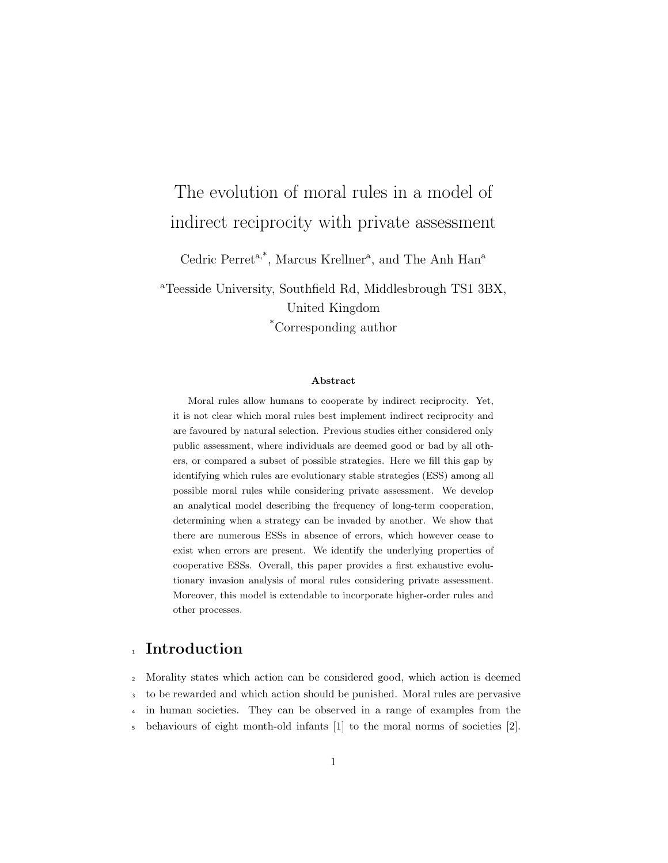# The evolution of moral rules in a model of indirect reciprocity with private assessment

Cedric Perret<sup>a,\*</sup>, Marcus Krellner<sup>a</sup>, and The Anh Han<sup>a</sup>

<sup>a</sup>Teesside University, Southfield Rd, Middlesbrough TS1 3BX, United Kingdom \*Corresponding author

#### Abstract

Moral rules allow humans to cooperate by indirect reciprocity. Yet, it is not clear which moral rules best implement indirect reciprocity and are favoured by natural selection. Previous studies either considered only public assessment, where individuals are deemed good or bad by all others, or compared a subset of possible strategies. Here we fill this gap by identifying which rules are evolutionary stable strategies (ESS) among all possible moral rules while considering private assessment. We develop an analytical model describing the frequency of long-term cooperation, determining when a strategy can be invaded by another. We show that there are numerous ESSs in absence of errors, which however cease to exist when errors are present. We identify the underlying properties of cooperative ESSs. Overall, this paper provides a first exhaustive evolutionary invasion analysis of moral rules considering private assessment. Moreover, this model is extendable to incorporate higher-order rules and other processes.

# <sup>1</sup> Introduction

 Morality states which action can be considered good, which action is deemed to be rewarded and which action should be punished. Moral rules are pervasive in human societies. They can be observed in a range of examples from the behaviours of eight month-old infants [1] to the moral norms of societies [2].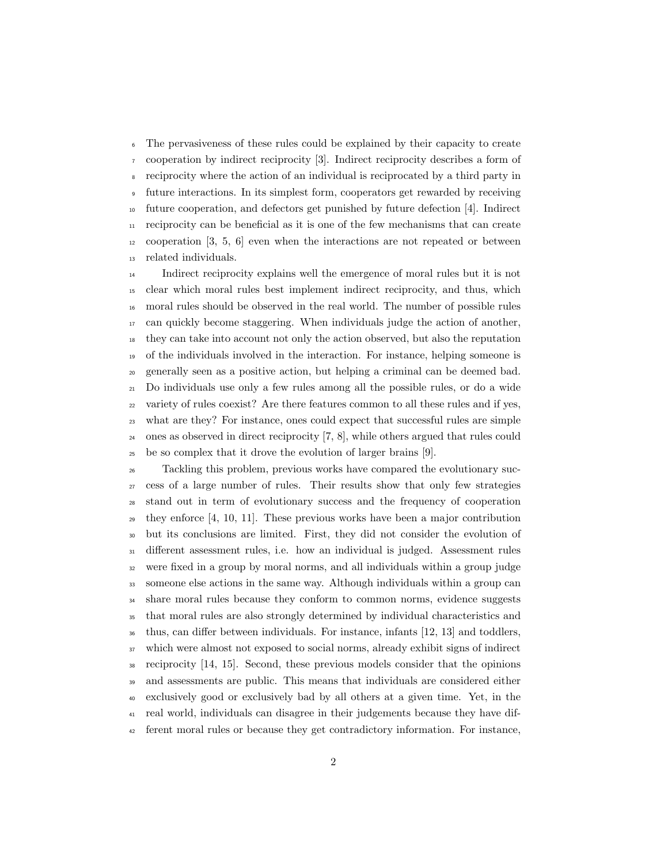The pervasiveness of these rules could be explained by their capacity to create cooperation by indirect reciprocity [3]. Indirect reciprocity describes a form of reciprocity where the action of an individual is reciprocated by a third party in future interactions. In its simplest form, cooperators get rewarded by receiving future cooperation, and defectors get punished by future defection [4]. Indirect  $_{11}$  reciprocity can be beneficial as it is one of the few mechanisms that can create cooperation [3, 5, 6] even when the interactions are not repeated or between related individuals.

 Indirect reciprocity explains well the emergence of moral rules but it is not clear which moral rules best implement indirect reciprocity, and thus, which moral rules should be observed in the real world. The number of possible rules can quickly become staggering. When individuals judge the action of another, they can take into account not only the action observed, but also the reputation of the individuals involved in the interaction. For instance, helping someone is generally seen as a positive action, but helping a criminal can be deemed bad. Do individuals use only a few rules among all the possible rules, or do a wide variety of rules coexist? Are there features common to all these rules and if yes, what are they? For instance, ones could expect that successful rules are simple ones as observed in direct reciprocity [7, 8], while others argued that rules could be so complex that it drove the evolution of larger brains [9].

 Tackling this problem, previous works have compared the evolutionary suc- cess of a large number of rules. Their results show that only few strategies stand out in term of evolutionary success and the frequency of cooperation  $_{29}$  they enforce [4, 10, 11]. These previous works have been a major contribution but its conclusions are limited. First, they did not consider the evolution of different assessment rules, i.e. how an individual is judged. Assessment rules were fixed in a group by moral norms, and all individuals within a group judge someone else actions in the same way. Although individuals within a group can share moral rules because they conform to common norms, evidence suggests that moral rules are also strongly determined by individual characteristics and thus, can differ between individuals. For instance, infants [12, 13] and toddlers, which were almost not exposed to social norms, already exhibit signs of indirect reciprocity [14, 15]. Second, these previous models consider that the opinions and assessments are public. This means that individuals are considered either exclusively good or exclusively bad by all others at a given time. Yet, in the real world, individuals can disagree in their judgements because they have dif-ferent moral rules or because they get contradictory information. For instance,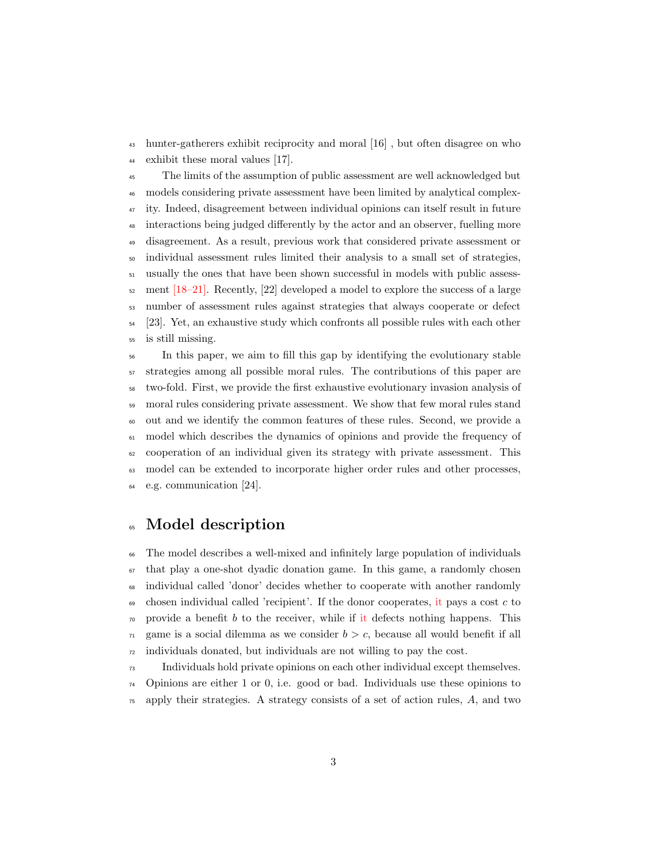hunter-gatherers exhibit reciprocity and moral [16] , but often disagree on who exhibit these moral values [17].

 The limits of the assumption of public assessment are well acknowledged but models considering private assessment have been limited by analytical complex- ity. Indeed, disagreement between individual opinions can itself result in future interactions being judged differently by the actor and an observer, fuelling more disagreement. As a result, previous work that considered private assessment or individual assessment rules limited their analysis to a small set of strategies, usually the ones that have been shown successful in models with public assess- $\frac{52}{2}$  ment [18–21]. Recently, [22] developed a model to explore the success of a large number of assessment rules against strategies that always cooperate or defect [23]. Yet, an exhaustive study which confronts all possible rules with each other is still missing.

 In this paper, we aim to fill this gap by identifying the evolutionary stable strategies among all possible moral rules. The contributions of this paper are two-fold. First, we provide the first exhaustive evolutionary invasion analysis of moral rules considering private assessment. We show that few moral rules stand out and we identify the common features of these rules. Second, we provide a model which describes the dynamics of opinions and provide the frequency of cooperation of an individual given its strategy with private assessment. This model can be extended to incorporate higher order rules and other processes, e.g. communication [24].

## Model description

 The model describes a well-mixed and infinitely large population of individuals that play a one-shot dyadic donation game. In this game, a randomly chosen individual called 'donor' decides whether to cooperate with another randomly  $\theta$  chosen individual called 'recipient'. If the donor cooperates, it pays a cost c to  $\pi$  provide a benefit b to the receiver, while if it defects nothing happens. This  $\tau_1$  game is a social dilemma as we consider  $b > c$ , because all would benefit if all individuals donated, but individuals are not willing to pay the cost.

Individuals hold private opinions on each other individual except themselves.

Opinions are either 1 or 0, i.e. good or bad. Individuals use these opinions to

apply their strategies. A strategy consists of a set of action rules,  $A$ , and two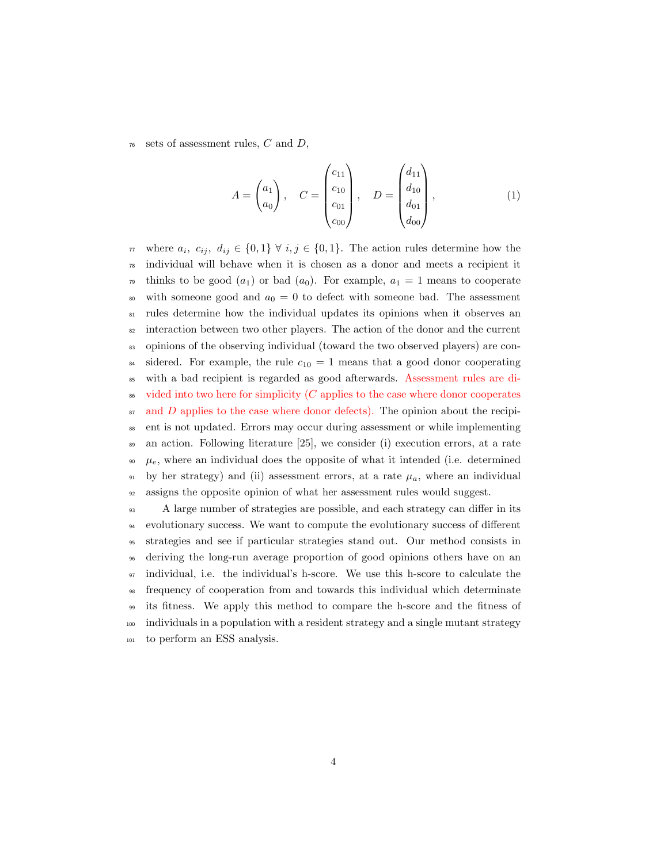$76$  sets of assessment rules, C and D,

$$
A = \begin{pmatrix} a_1 \\ a_0 \end{pmatrix}, \quad C = \begin{pmatrix} c_{11} \\ c_{10} \\ c_{01} \\ c_{00} \end{pmatrix}, \quad D = \begin{pmatrix} d_{11} \\ d_{10} \\ d_{01} \\ d_{00} \end{pmatrix}, \tag{1}
$$

 $\pi$  where  $a_i, c_{ij}, d_{ij} \in \{0,1\} \ \forall \ i, j \in \{0,1\}.$  The action rules determine how the <sup>78</sup> individual will behave when it is chosen as a donor and meets a recipient it <sup>79</sup> thinks to be good  $(a_1)$  or bad  $(a_0)$ . For example,  $a_1 = 1$  means to cooperate <sup>80</sup> with someone good and  $a_0 = 0$  to defect with someone bad. The assessment <sup>81</sup> rules determine how the individual updates its opinions when it observes an <sup>82</sup> interaction between two other players. The action of the donor and the current <sup>83</sup> opinions of the observing individual (toward the two observed players) are con-<sup>84</sup> sidered. For example, the rule  $c_{10} = 1$  means that a good donor cooperating <sup>85</sup> with a bad recipient is regarded as good afterwards. Assessment rules are di- $\delta$ <sup>86</sup> vided into two here for simplicity (C applies to the case where donor cooperates  $\mathfrak{so}$  and D applies to the case where donor defects). The opinion about the recipi-<sup>88</sup> ent is not updated. Errors may occur during assessment or while implementing <sup>89</sup> an action. Following literature [25], we consider (i) execution errors, at a rate  $\theta$ , where an individual does the opposite of what it intended (i.e. determined  $\mu_{91}$  by her strategy) and (ii) assessment errors, at a rate  $\mu_a$ , where an individual <sup>92</sup> assigns the opposite opinion of what her assessment rules would suggest.

 A large number of strategies are possible, and each strategy can differ in its evolutionary success. We want to compute the evolutionary success of different strategies and see if particular strategies stand out. Our method consists in deriving the long-run average proportion of good opinions others have on an individual, i.e. the individual's h-score. We use this h-score to calculate the frequency of cooperation from and towards this individual which determinate its fitness. We apply this method to compare the h-score and the fitness of individuals in a population with a resident strategy and a single mutant strategy to perform an ESS analysis.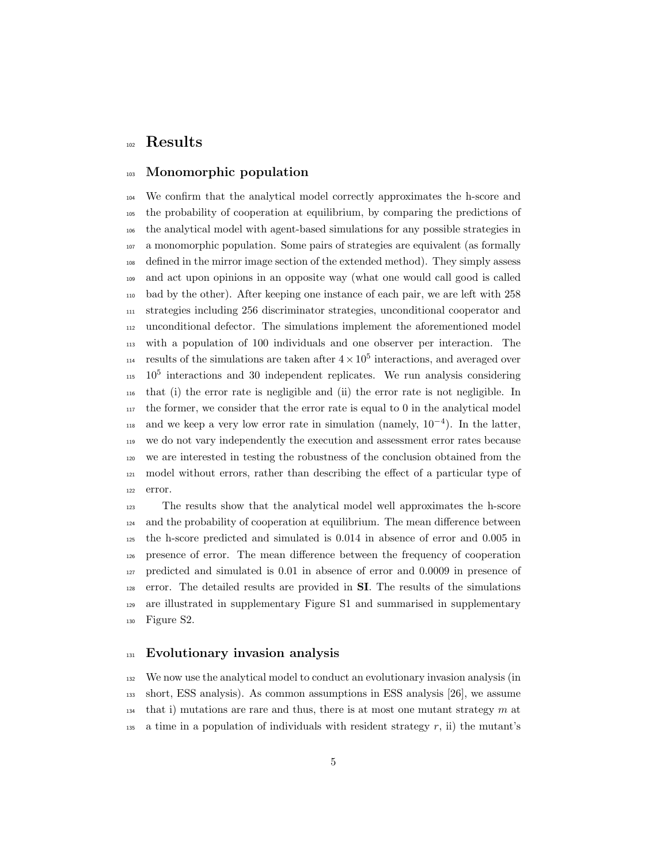## Results

### Monomorphic population

 We confirm that the analytical model correctly approximates the h-score and the probability of cooperation at equilibrium, by comparing the predictions of the analytical model with agent-based simulations for any possible strategies in a monomorphic population. Some pairs of strategies are equivalent (as formally defined in the mirror image section of the extended method). They simply assess and act upon opinions in an opposite way (what one would call good is called bad by the other). After keeping one instance of each pair, we are left with 258 strategies including 256 discriminator strategies, unconditional cooperator and unconditional defector. The simulations implement the aforementioned model with a population of 100 individuals and one observer per interaction. The <sup>114</sup> results of the simulations are taken after  $4 \times 10^5$  interactions, and averaged over  $115 \cdot 10^5$  interactions and 30 independent replicates. We run analysis considering that (i) the error rate is negligible and (ii) the error rate is not negligible. In the former, we consider that the error rate is equal to 0 in the analytical model  $_{118}$  and we keep a very low error rate in simulation (namely,  $10^{-4}$ ). In the latter, we do not vary independently the execution and assessment error rates because we are interested in testing the robustness of the conclusion obtained from the model without errors, rather than describing the effect of a particular type of error.

 The results show that the analytical model well approximates the h-score and the probability of cooperation at equilibrium. The mean difference between the h-score predicted and simulated is 0.014 in absence of error and 0.005 in presence of error. The mean difference between the frequency of cooperation predicted and simulated is 0.01 in absence of error and 0.0009 in presence of error. The detailed results are provided in SI. The results of the simulations are illustrated in supplementary Figure S1 and summarised in supplementary Figure S2.

## <sup>131</sup> Evolutionary invasion analysis

 We now use the analytical model to conduct an evolutionary invasion analysis (in short, ESS analysis). As common assumptions in ESS analysis [26], we assume that i) mutations are rare and thus, there is at most one mutant strategy  $m$  at  $_{135}$  a time in a population of individuals with resident strategy r, ii) the mutant's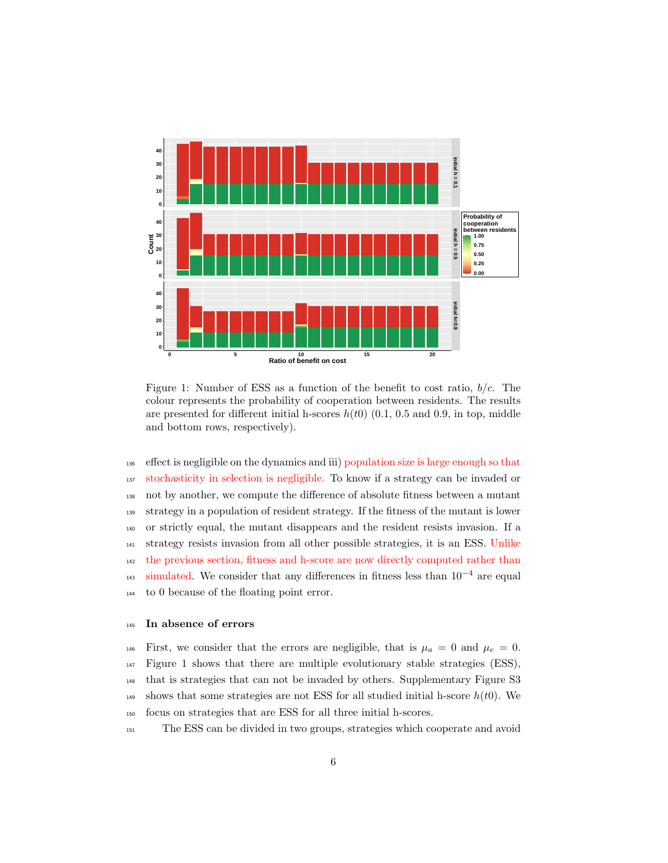

Figure 1: Number of ESS as a function of the benefit to cost ratio,  $b/c$ . The colour represents the probability of cooperation between residents. The results are presented for different initial h-scores  $h(t0)$  (0.1, 0.5 and 0.9, in top, middle and bottom rows, respectively).

 effect is negligible on the dynamics and iii) population size is large enough so that stochasticity in selection is negligible. To know if a strategy can be invaded or not by another, we compute the difference of absolute fitness between a mutant strategy in a population of resident strategy. If the fitness of the mutant is lower or strictly equal, the mutant disappears and the resident resists invasion. If a strategy resists invasion from all other possible strategies, it is an ESS. Unlike the previous section, fitness and h-score are now directly computed rather than  $_{143}$  simulated. We consider that any differences in fitness less than  $10^{-4}$  are equal to 0 because of the floating point error.

#### In absence of errors

146 First, we consider that the errors are negligible, that is  $\mu_a = 0$  and  $\mu_e = 0$ . Figure 1 shows that there are multiple evolutionary stable strategies (ESS), that is strategies that can not be invaded by others. Supplementary Figure S3 149 shows that some strategies are not ESS for all studied initial h-score  $h(t0)$ . We focus on strategies that are ESS for all three initial h-scores.

The ESS can be divided in two groups, strategies which cooperate and avoid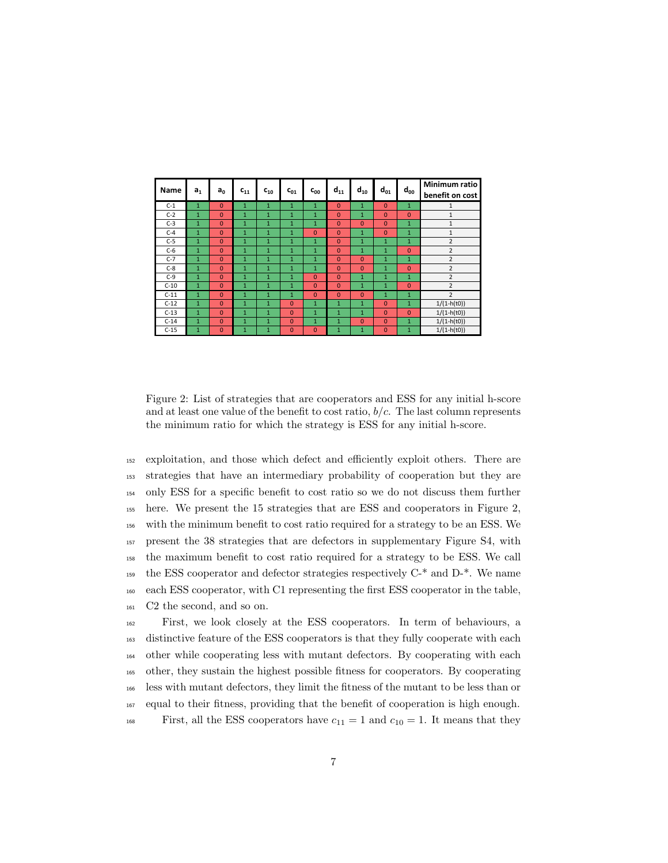| Name   | a <sub>1</sub> | a <sub>0</sub> | $c_{11}$     | $c_{10}$       | $c_{01}$       | $c_{00}$       | $d_{11}$     | $d_{10}$     | $d_{01}$       | $d_{00}$     | Minimum ratio<br>benefit on cost |  |
|--------|----------------|----------------|--------------|----------------|----------------|----------------|--------------|--------------|----------------|--------------|----------------------------------|--|
| $C-1$  | $\mathbf{1}$   | $\mathbf{0}$   | $\mathbf{1}$ | $\mathbf{1}$   | $\mathbf{1}$   | $\mathbf{1}$   | $\mathbf{0}$ | $\mathbf{1}$ | $\Omega$       | $\mathbf{1}$ | $\mathbf{1}$                     |  |
| $C-2$  | $\mathbf{1}$   | $\Omega$       | $\mathbf{1}$ | $\mathbf{1}$   | $\mathbf{1}$   | $\mathbf{1}$   | $\mathbf{0}$ | $\mathbf{1}$ | $\Omega$       | $\Omega$     | $\mathbf{1}$                     |  |
| $C-3$  | $\mathbf{1}$   | $\Omega$       | $\mathbf{1}$ | $\mathbf{1}$   | $\mathbf{1}$   | $\mathbf{1}$   | $\Omega$     | $\Omega$     | $\Omega$       | $\mathbf{1}$ | $\mathbf{1}$                     |  |
| $C-4$  | $\mathbf{1}$   | $\Omega$       | $\mathbf{1}$ | $\mathbf{1}$   | $\mathbf{1}$   | $\mathbf{0}$   | $\Omega$     | $\mathbf{1}$ | $\Omega$       | $\mathbf{1}$ | $\mathbf{1}$                     |  |
| $C-5$  | $\mathbf{1}$   | $\Omega$       | $\mathbf{1}$ | $\mathbf{1}$   | $\mathbf{1}$   | $\mathbf{1}$   | $\Omega$     | $\mathbf{1}$ | $\mathbf{1}$   | $\mathbf{1}$ | $\overline{2}$                   |  |
| $C-6$  | $\mathbf{1}$   | $\Omega$       | $\mathbf{1}$ | $\mathbf{1}$   | $\mathbf{1}$   | $\mathbf{1}$   | $\mathbf{0}$ | $\mathbf{1}$ | $\mathbf{1}$   | $\mathbf{0}$ | $\overline{2}$                   |  |
| $C-7$  | $\mathbf{1}$   | $\mathbf{0}$   | $\mathbf{1}$ | $\mathbf{1}$   | $\mathbf{1}$   | $\mathbf{1}$   | $\mathbf{0}$ | $\mathbf{0}$ | $\mathbf{1}$   | $\mathbf{1}$ | $\overline{2}$                   |  |
| $C-8$  | $\mathbf{1}$   | $\Omega$       | $\mathbf{1}$ | $\mathbf{1}$   | $\mathbf{1}$   | $\mathbf{1}$   | $\Omega$     | $\Omega$     | $\mathbf{1}$   | $\mathbf{0}$ | $\overline{2}$                   |  |
| $C-9$  | $\mathbf{1}$   | $\Omega$       | $\mathbf{1}$ | $\mathbf{1}$   | $\mathbf{1}$   | $\overline{0}$ | $\Omega$     | $\mathbf{1}$ | $\mathbf{1}$   | $\mathbf{1}$ | $\overline{2}$                   |  |
| $C-10$ | $\mathbf{1}$   | $\Omega$       | 1            | $\mathbf{1}$   | $\mathbf{1}$   | $\mathbf{0}$   | $\Omega$     | $\mathbf{1}$ | $\mathbf{1}$   | $\Omega$     | $\overline{2}$                   |  |
| $C-11$ | $\mathbf{1}$   | $\Omega$       | $\mathbf{1}$ | $\mathbf{1}$   | $\mathbf{1}$   | $\Omega$       | $\Omega$     | $\Omega$     | $\mathbf{1}$   | $\mathbf{1}$ | $\overline{2}$                   |  |
| $C-12$ | $\mathbf{1}$   | $\overline{0}$ | $\mathbf{1}$ | $\overline{1}$ | $\overline{0}$ | 1              | $\mathbf{1}$ | $\mathbf{1}$ | $\overline{0}$ | $\mathbf{1}$ | $1/(1-h(t0))$                    |  |
| $C-13$ | $\mathbf{1}$   | $\Omega$       | 1            | $\mathbf{1}$   | $\Omega$       | $\mathbf{1}$   | $\mathbf{1}$ | $\mathbf{1}$ | $\Omega$       | $\Omega$     | $1/(1 - h(t0))$                  |  |
| $C-14$ | $\mathbf{1}$   | $\Omega$       | $\mathbf{1}$ | $\mathbf{1}$   | $\Omega$       | $\mathbf{1}$   | $\mathbf{1}$ | $\Omega$     | $\Omega$       | $\mathbf{1}$ | $1/(1 - h(t0))$                  |  |
| $C-15$ | 1              | $\Omega$       | 1            | $\mathbf{1}$   | $\Omega$       | $\mathbf{0}$   | $\mathbf{1}$ | $\mathbf{1}$ | 0              | $\mathbf{1}$ | $1/(1 - h(t0))$                  |  |

Figure 2: List of strategies that are cooperators and ESS for any initial h-score and at least one value of the benefit to cost ratio,  $b/c$ . The last column represents the minimum ratio for which the strategy is ESS for any initial h-score.

 exploitation, and those which defect and efficiently exploit others. There are strategies that have an intermediary probability of cooperation but they are only ESS for a specific benefit to cost ratio so we do not discuss them further here. We present the 15 strategies that are ESS and cooperators in Figure 2, with the minimum benefit to cost ratio required for a strategy to be an ESS. We present the 38 strategies that are defectors in supplementary Figure S4, with the maximum benefit to cost ratio required for a strategy to be ESS. We call <sup>159</sup> the ESS cooperator and defector strategies respectively  $C<sup>*</sup>$  and  $D<sup>*</sup>$ . We name each ESS cooperator, with C1 representing the first ESS cooperator in the table, C2 the second, and so on.

 First, we look closely at the ESS cooperators. In term of behaviours, a distinctive feature of the ESS cooperators is that they fully cooperate with each other while cooperating less with mutant defectors. By cooperating with each other, they sustain the highest possible fitness for cooperators. By cooperating less with mutant defectors, they limit the fitness of the mutant to be less than or equal to their fitness, providing that the benefit of cooperation is high enough. First, all the ESS cooperators have  $c_{11} = 1$  and  $c_{10} = 1$ . It means that they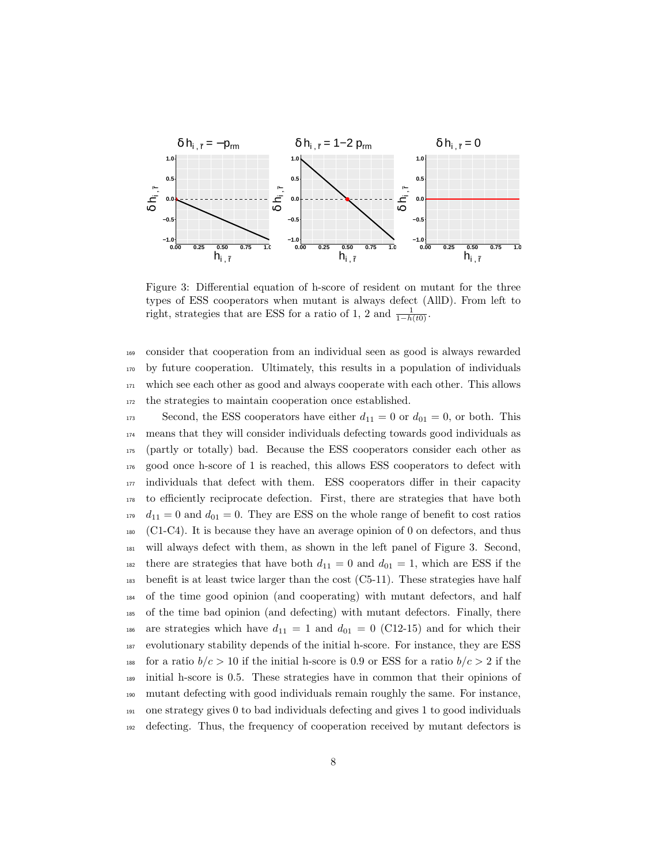

Figure 3: Differential equation of h-score of resident on mutant for the three types of ESS cooperators when mutant is always defect (AllD). From left to right, strategies that are ESS for a ratio of 1, 2 and  $\frac{1}{1-h(t0)}$ .

 consider that cooperation from an individual seen as good is always rewarded by future cooperation. Ultimately, this results in a population of individuals which see each other as good and always cooperate with each other. This allows the strategies to maintain cooperation once established.

173 Second, the ESS cooperators have either  $d_{11} = 0$  or  $d_{01} = 0$ , or both. This means that they will consider individuals defecting towards good individuals as (partly or totally) bad. Because the ESS cooperators consider each other as good once h-score of 1 is reached, this allows ESS cooperators to defect with individuals that defect with them. ESS cooperators differ in their capacity to efficiently reciprocate defection. First, there are strategies that have both  $179 \, d_{11} = 0$  and  $d_{01} = 0$ . They are ESS on the whole range of benefit to cost ratios (C1-C4). It is because they have an average opinion of 0 on defectors, and thus will always defect with them, as shown in the left panel of Figure 3. Second, 182 there are strategies that have both  $d_{11} = 0$  and  $d_{01} = 1$ , which are ESS if the  $_{183}$  benefit is at least twice larger than the cost (C5-11). These strategies have half of the time good opinion (and cooperating) with mutant defectors, and half of the time bad opinion (and defecting) with mutant defectors. Finally, there 186 are strategies which have  $d_{11} = 1$  and  $d_{01} = 0$  (C12-15) and for which their evolutionary stability depends of the initial h-score. For instance, they are ESS <sup>188</sup> for a ratio  $b/c > 10$  if the initial h-score is 0.9 or ESS for a ratio  $b/c > 2$  if the initial h-score is 0.5. These strategies have in common that their opinions of mutant defecting with good individuals remain roughly the same. For instance, one strategy gives 0 to bad individuals defecting and gives 1 to good individuals defecting. Thus, the frequency of cooperation received by mutant defectors is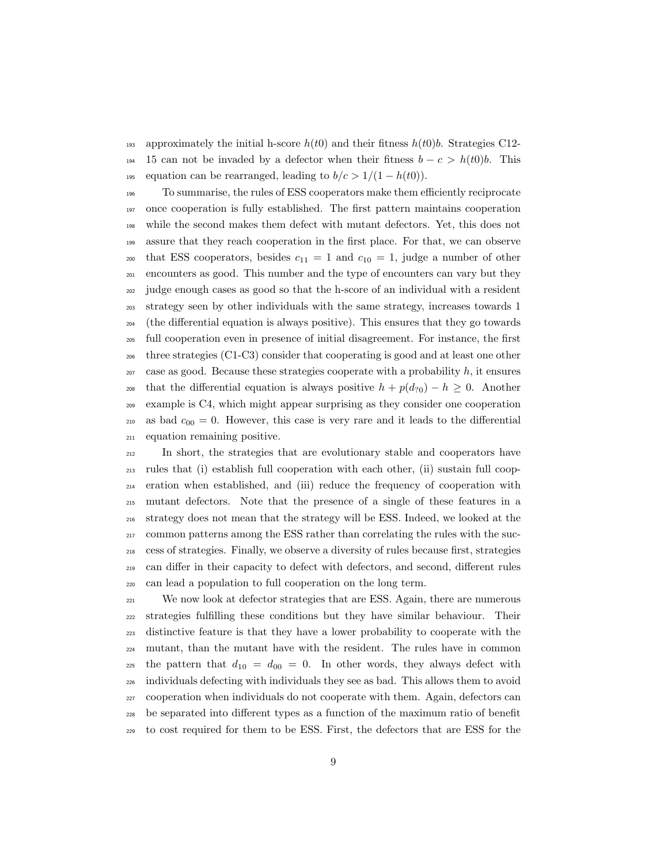193 approximately the initial h-score  $h(t0)$  and their fitness  $h(t0)$ b. Strategies C12-<sup>194</sup> 15 can not be invaded by a defector when their fitness  $b - c > h(t0)b$ . This 195 equation can be rearranged, leading to  $b/c > 1/(1 - h(t0))$ .

 To summarise, the rules of ESS cooperators make them efficiently reciprocate once cooperation is fully established. The first pattern maintains cooperation while the second makes them defect with mutant defectors. Yet, this does not assure that they reach cooperation in the first place. For that, we can observe 200 that ESS cooperators, besides  $c_{11} = 1$  and  $c_{10} = 1$ , judge a number of other encounters as good. This number and the type of encounters can vary but they judge enough cases as good so that the h-score of an individual with a resident strategy seen by other individuals with the same strategy, increases towards 1 (the differential equation is always positive). This ensures that they go towards full cooperation even in presence of initial disagreement. For instance, the first three strategies (C1-C3) consider that cooperating is good and at least one other case as good. Because these strategies cooperate with a probability h, it ensures <sup>208</sup> that the differential equation is always positive  $h + p(d_{20}) - h \geq 0$ . Another example is C4, which might appear surprising as they consider one cooperation 210 as bad  $c_{00} = 0$ . However, this case is very rare and it leads to the differential equation remaining positive.

 In short, the strategies that are evolutionary stable and cooperators have rules that (i) establish full cooperation with each other, (ii) sustain full coop- eration when established, and (iii) reduce the frequency of cooperation with mutant defectors. Note that the presence of a single of these features in a strategy does not mean that the strategy will be ESS. Indeed, we looked at the common patterns among the ESS rather than correlating the rules with the suc- cess of strategies. Finally, we observe a diversity of rules because first, strategies can differ in their capacity to defect with defectors, and second, different rules can lead a population to full cooperation on the long term.

<sup>221</sup> We now look at defector strategies that are ESS. Again, there are numerous strategies fulfilling these conditions but they have similar behaviour. Their distinctive feature is that they have a lower probability to cooperate with the mutant, than the mutant have with the resident. The rules have in common 225 the pattern that  $d_{10} = d_{00} = 0$ . In other words, they always defect with individuals defecting with individuals they see as bad. This allows them to avoid cooperation when individuals do not cooperate with them. Again, defectors can be separated into different types as a function of the maximum ratio of benefit to cost required for them to be ESS. First, the defectors that are ESS for the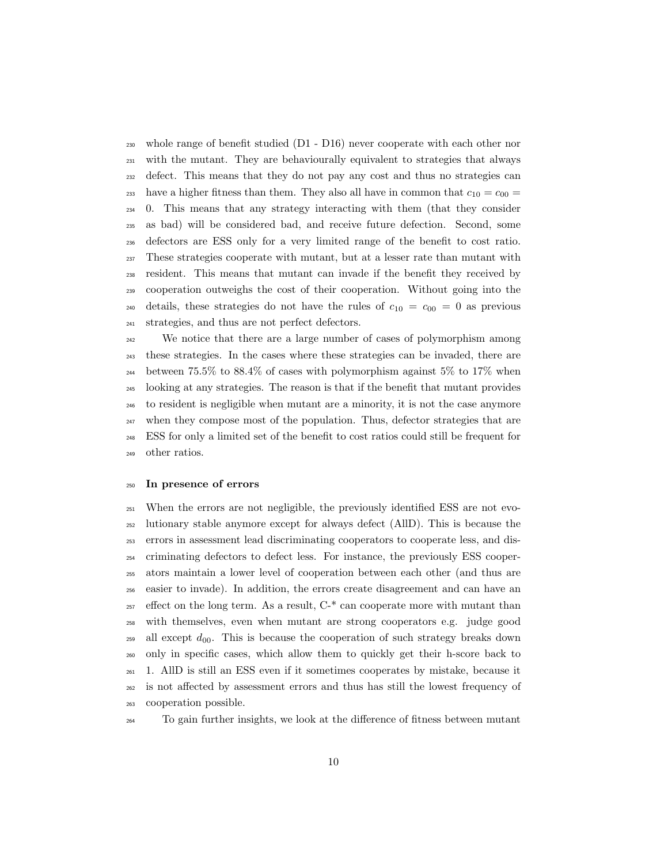whole range of benefit studied (D1 - D16) never cooperate with each other nor with the mutant. They are behaviourally equivalent to strategies that always defect. This means that they do not pay any cost and thus no strategies can <sup>233</sup> have a higher fitness than them. They also all have in common that  $c_{10} = c_{00} =$  0. This means that any strategy interacting with them (that they consider as bad) will be considered bad, and receive future defection. Second, some defectors are ESS only for a very limited range of the benefit to cost ratio. These strategies cooperate with mutant, but at a lesser rate than mutant with resident. This means that mutant can invade if the benefit they received by cooperation outweighs the cost of their cooperation. Without going into the 240 details, these strategies do not have the rules of  $c_{10} = c_{00} = 0$  as previous strategies, and thus are not perfect defectors.

<sup>242</sup> We notice that there are a large number of cases of polymorphism among these strategies. In the cases where these strategies can be invaded, there are <sup>244</sup> between 75.5% to 88.4% of cases with polymorphism against 5% to 17% when looking at any strategies. The reason is that if the benefit that mutant provides to resident is negligible when mutant are a minority, it is not the case anymore when they compose most of the population. Thus, defector strategies that are ESS for only a limited set of the benefit to cost ratios could still be frequent for other ratios.

#### In presence of errors

 When the errors are not negligible, the previously identified ESS are not evo- lutionary stable anymore except for always defect (AllD). This is because the errors in assessment lead discriminating cooperators to cooperate less, and dis- criminating defectors to defect less. For instance, the previously ESS cooper- ators maintain a lower level of cooperation between each other (and thus are easier to invade). In addition, the errors create disagreement and can have an effect on the long term. As a result,  $C^*$  can cooperate more with mutant than with themselves, even when mutant are strong cooperators e.g. judge good <sup>259</sup> all except  $d_{00}$ . This is because the cooperation of such strategy breaks down only in specific cases, which allow them to quickly get their h-score back to 1. AllD is still an ESS even if it sometimes cooperates by mistake, because it is not affected by assessment errors and thus has still the lowest frequency of cooperation possible.

To gain further insights, we look at the difference of fitness between mutant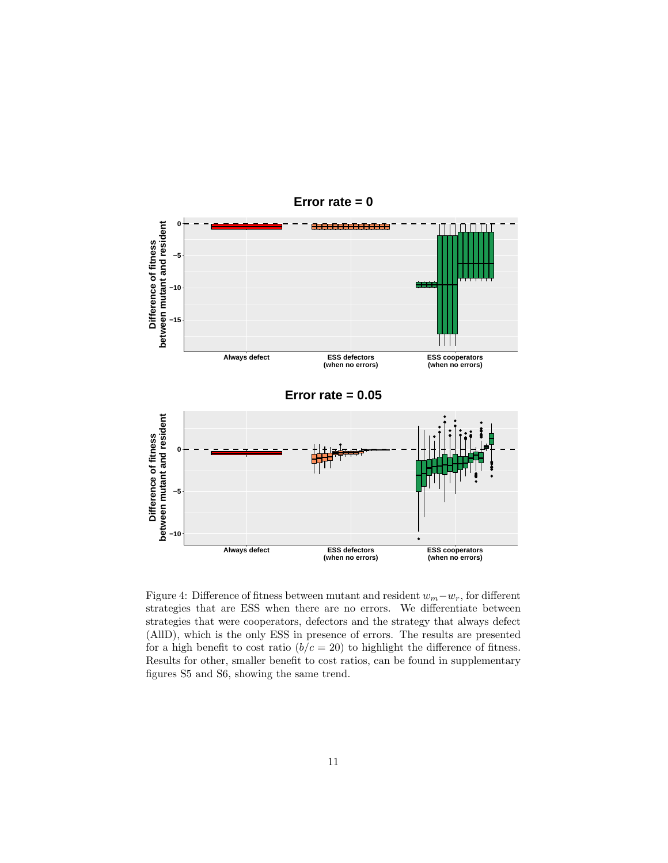

Figure 4: Difference of fitness between mutant and resident  $w_m-w_r$ , for different strategies that are ESS when there are no errors. We differentiate between strategies that were cooperators, defectors and the strategy that always defect (AllD), which is the only ESS in presence of errors. The results are presented for a high benefit to cost ratio  $(b/c = 20)$  to highlight the difference of fitness. Results for other, smaller benefit to cost ratios, can be found in supplementary figures S5 and S6, showing the same trend.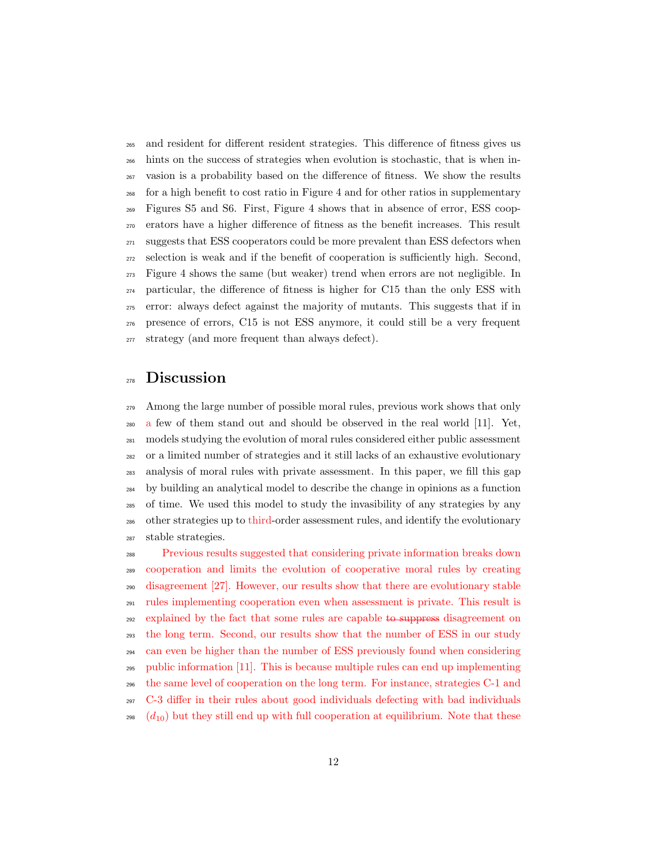and resident for different resident strategies. This difference of fitness gives us hints on the success of strategies when evolution is stochastic, that is when in- vasion is a probability based on the difference of fitness. We show the results for a high benefit to cost ratio in Figure 4 and for other ratios in supplementary Figures S5 and S6. First, Figure 4 shows that in absence of error, ESS coop- erators have a higher difference of fitness as the benefit increases. This result <sup>271</sup> suggests that ESS cooperators could be more prevalent than ESS defectors when selection is weak and if the benefit of cooperation is sufficiently high. Second, Figure 4 shows the same (but weaker) trend when errors are not negligible. In particular, the difference of fitness is higher for C15 than the only ESS with error: always defect against the majority of mutants. This suggests that if in presence of errors, C15 is not ESS anymore, it could still be a very frequent strategy (and more frequent than always defect).

## Discussion

 Among the large number of possible moral rules, previous work shows that only a few of them stand out and should be observed in the real world [11]. Yet, models studying the evolution of moral rules considered either public assessment or a limited number of strategies and it still lacks of an exhaustive evolutionary analysis of moral rules with private assessment. In this paper, we fill this gap by building an analytical model to describe the change in opinions as a function of time. We used this model to study the invasibility of any strategies by any other strategies up to third-order assessment rules, and identify the evolutionary stable strategies.

 Previous results suggested that considering private information breaks down cooperation and limits the evolution of cooperative moral rules by creating disagreement [27]. However, our results show that there are evolutionary stable rules implementing cooperation even when assessment is private. This result is <sub>292</sub> explained by the fact that some rules are capable to suppress disagreement on the long term. Second, our results show that the number of ESS in our study can even be higher than the number of ESS previously found when considering public information [11]. This is because multiple rules can end up implementing the same level of cooperation on the long term. For instance, strategies C-1 and C-3 differ in their rules about good individuals defecting with bad individuals <sup>298</sup>  $(d_{10})$  but they still end up with full cooperation at equilibrium. Note that these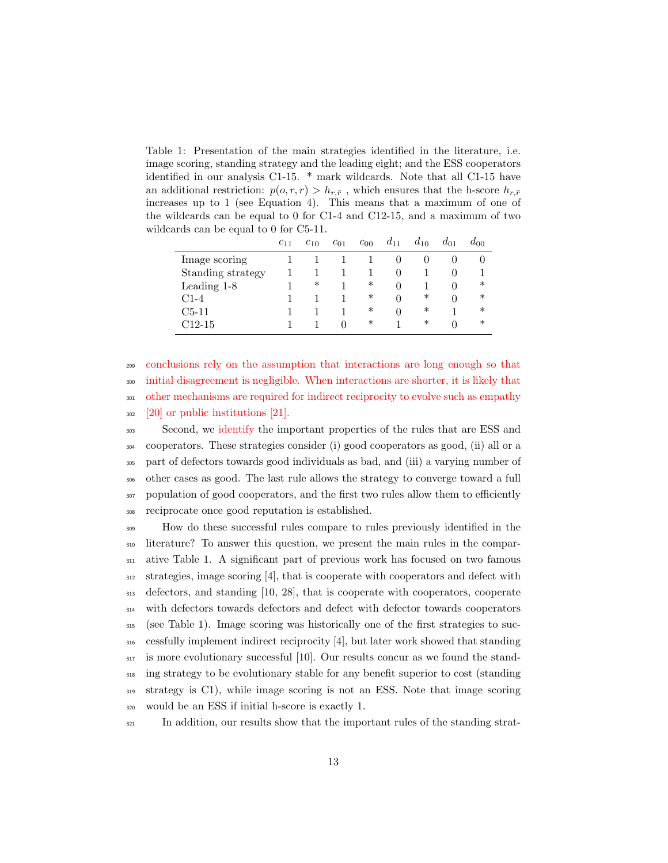Table 1: Presentation of the main strategies identified in the literature, i.e. image scoring, standing strategy and the leading eight; and the ESS cooperators identified in our analysis C1-15. \* mark wildcards. Note that all C1-15 have an additional restriction:  $p(o, r, r) > h_{r, \bar{r}}$ , which ensures that the h-score  $h_{r, \bar{r}}$ increases up to 1 (see Equation 4). This means that a maximum of one of the wildcards can be equal to 0 for C1-4 and C12-15, and a maximum of two wildcards can be equal to 0 for C5-11.

|                   | $c_{11}$ | $c_{10}$ | $c_{01}$   | $c_{00}$ | $a_{11}$     | $a_{10}$ | $a_{01}$     | $a_{00}$ |
|-------------------|----------|----------|------------|----------|--------------|----------|--------------|----------|
| Image scoring     |          |          |            |          |              | 0        | O            |          |
| Standing strategy |          |          |            |          | $\Box$       |          | $\mathbf{0}$ |          |
| Leading 1-8       |          | ∗        |            | ∗        | $\mathbf{0}$ |          | $\mathbf{0}$ | ∗        |
| $C1-4$            |          |          |            | ∗        | $\mathbf{0}$ | ∗        | $\Omega$     | ∗        |
| $C5-11$           |          |          |            | ∗        | $\Omega$     | ∗        |              | $\ast$   |
| C12-15            |          |          | $^{\circ}$ | $\ast$   |              | ∗        | $\Omega$     | $\ast$   |

 conclusions rely on the assumption that interactions are long enough so that initial disagreement is negligible. When interactions are shorter, it is likely that other mechanisms are required for indirect reciprocity to evolve such as empathy [20] or public institutions [21].

 Second, we identify the important properties of the rules that are ESS and cooperators. These strategies consider (i) good cooperators as good, (ii) all or a part of defectors towards good individuals as bad, and (iii) a varying number of other cases as good. The last rule allows the strategy to converge toward a full population of good cooperators, and the first two rules allow them to efficiently reciprocate once good reputation is established.

 How do these successful rules compare to rules previously identified in the literature? To answer this question, we present the main rules in the compar- ative Table 1. A significant part of previous work has focused on two famous strategies, image scoring [4], that is cooperate with cooperators and defect with defectors, and standing [10, 28], that is cooperate with cooperators, cooperate with defectors towards defectors and defect with defector towards cooperators (see Table 1). Image scoring was historically one of the first strategies to suc- cessfully implement indirect reciprocity [4], but later work showed that standing is more evolutionary successful [10]. Our results concur as we found the stand- ing strategy to be evolutionary stable for any benefit superior to cost (standing strategy is C1), while image scoring is not an ESS. Note that image scoring would be an ESS if initial h-score is exactly 1.

<sup>321</sup> In addition, our results show that the important rules of the standing strat-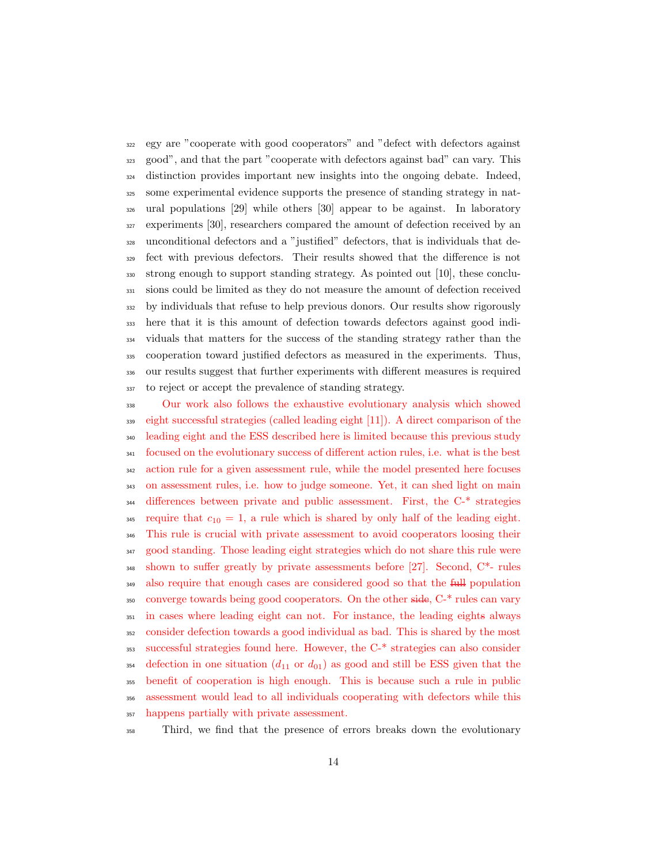egy are "cooperate with good cooperators" and "defect with defectors against good", and that the part "cooperate with defectors against bad" can vary. This distinction provides important new insights into the ongoing debate. Indeed, some experimental evidence supports the presence of standing strategy in nat- ural populations [29] while others [30] appear to be against. In laboratory experiments [30], researchers compared the amount of defection received by an unconditional defectors and a "justified" defectors, that is individuals that de- fect with previous defectors. Their results showed that the difference is not strong enough to support standing strategy. As pointed out [10], these conclu- sions could be limited as they do not measure the amount of defection received by individuals that refuse to help previous donors. Our results show rigorously here that it is this amount of defection towards defectors against good indi- viduals that matters for the success of the standing strategy rather than the cooperation toward justified defectors as measured in the experiments. Thus, our results suggest that further experiments with different measures is required to reject or accept the prevalence of standing strategy.

 Our work also follows the exhaustive evolutionary analysis which showed eight successful strategies (called leading eight [11]). A direct comparison of the leading eight and the ESS described here is limited because this previous study focused on the evolutionary success of different action rules, i.e. what is the best action rule for a given assessment rule, while the model presented here focuses on assessment rules, i.e. how to judge someone. Yet, it can shed light on main differences between private and public assessment. First, the C-\* strategies <sup>345</sup> require that  $c_{10} = 1$ , a rule which is shared by only half of the leading eight. This rule is crucial with private assessment to avoid cooperators loosing their good standing. Those leading eight strategies which do not share this rule were shown to suffer greatly by private assessments before [27]. Second, C\*- rules <sup>349</sup> also require that enough cases are considered good so that the full population converge towards being good cooperators. On the other side, C-\* rules can vary in cases where leading eight can not. For instance, the leading eights always consider defection towards a good individual as bad. This is shared by the most successful strategies found here. However, the C-\* strategies can also consider <sup>354</sup> defection in one situation  $(d_{11} \text{ or } d_{01})$  as good and still be ESS given that the benefit of cooperation is high enough. This is because such a rule in public assessment would lead to all individuals cooperating with defectors while this happens partially with private assessment.

Third, we find that the presence of errors breaks down the evolutionary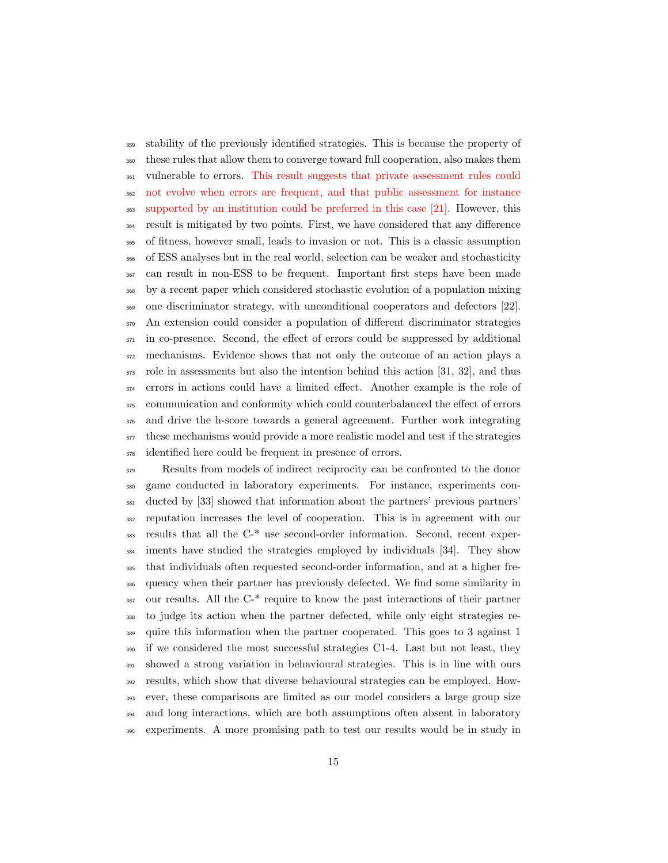stability of the previously identified strategies. This is because the property of these rules that allow them to converge toward full cooperation, also makes them vulnerable to errors. This result suggests that private assessment rules could not evolve when errors are frequent, and that public assessment for instance supported by an institution could be preferred in this case [21]. However, this result is mitigated by two points. First, we have considered that any difference of fitness, however small, leads to invasion or not. This is a classic assumption of ESS analyses but in the real world, selection can be weaker and stochasticity can result in non-ESS to be frequent. Important first steps have been made by a recent paper which considered stochastic evolution of a population mixing one discriminator strategy, with unconditional cooperators and defectors [22]. An extension could consider a population of different discriminator strategies in co-presence. Second, the effect of errors could be suppressed by additional mechanisms. Evidence shows that not only the outcome of an action plays a role in assessments but also the intention behind this action [31, 32], and thus errors in actions could have a limited effect. Another example is the role of communication and conformity which could counterbalanced the effect of errors and drive the h-score towards a general agreement. Further work integrating these mechanisms would provide a more realistic model and test if the strategies identified here could be frequent in presence of errors.

 Results from models of indirect reciprocity can be confronted to the donor game conducted in laboratory experiments. For instance, experiments con- ducted by [33] showed that information about the partners' previous partners' reputation increases the level of cooperation. This is in agreement with our results that all the C-\* use second-order information. Second, recent exper- iments have studied the strategies employed by individuals [34]. They show that individuals often requested second-order information, and at a higher fre- quency when their partner has previously defected. We find some similarity in our results. All the C<sup>\*</sup> require to know the past interactions of their partner to judge its action when the partner defected, while only eight strategies re- quire this information when the partner cooperated. This goes to 3 against 1 if we considered the most successful strategies C1-4. Last but not least, they showed a strong variation in behavioural strategies. This is in line with ours results, which show that diverse behavioural strategies can be employed. How- ever, these comparisons are limited as our model considers a large group size and long interactions, which are both assumptions often absent in laboratory experiments. A more promising path to test our results would be in study in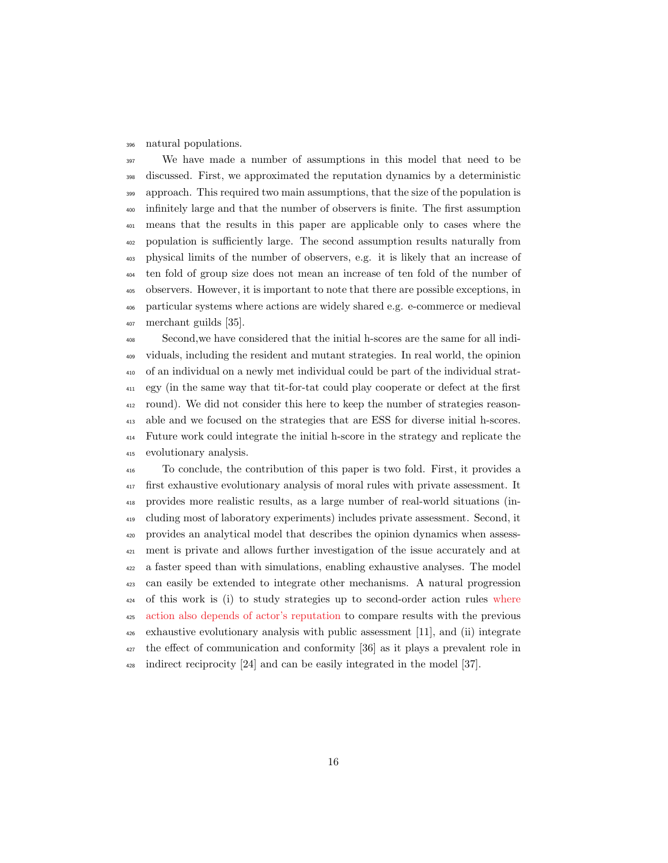#### natural populations.

 We have made a number of assumptions in this model that need to be discussed. First, we approximated the reputation dynamics by a deterministic approach. This required two main assumptions, that the size of the population is infinitely large and that the number of observers is finite. The first assumption means that the results in this paper are applicable only to cases where the population is sufficiently large. The second assumption results naturally from physical limits of the number of observers, e.g. it is likely that an increase of ten fold of group size does not mean an increase of ten fold of the number of observers. However, it is important to note that there are possible exceptions, in particular systems where actions are widely shared e.g. e-commerce or medieval merchant guilds [35].

 Second,we have considered that the initial h-scores are the same for all indi- viduals, including the resident and mutant strategies. In real world, the opinion of an individual on a newly met individual could be part of the individual strat- egy (in the same way that tit-for-tat could play cooperate or defect at the first round). We did not consider this here to keep the number of strategies reason- able and we focused on the strategies that are ESS for diverse initial h-scores. Future work could integrate the initial h-score in the strategy and replicate the evolutionary analysis.

 To conclude, the contribution of this paper is two fold. First, it provides a first exhaustive evolutionary analysis of moral rules with private assessment. It provides more realistic results, as a large number of real-world situations (in- cluding most of laboratory experiments) includes private assessment. Second, it provides an analytical model that describes the opinion dynamics when assess- ment is private and allows further investigation of the issue accurately and at a faster speed than with simulations, enabling exhaustive analyses. The model can easily be extended to integrate other mechanisms. A natural progression of this work is (i) to study strategies up to second-order action rules where action also depends of actor's reputation to compare results with the previous exhaustive evolutionary analysis with public assessment [11], and (ii) integrate the effect of communication and conformity [36] as it plays a prevalent role in indirect reciprocity [24] and can be easily integrated in the model [37].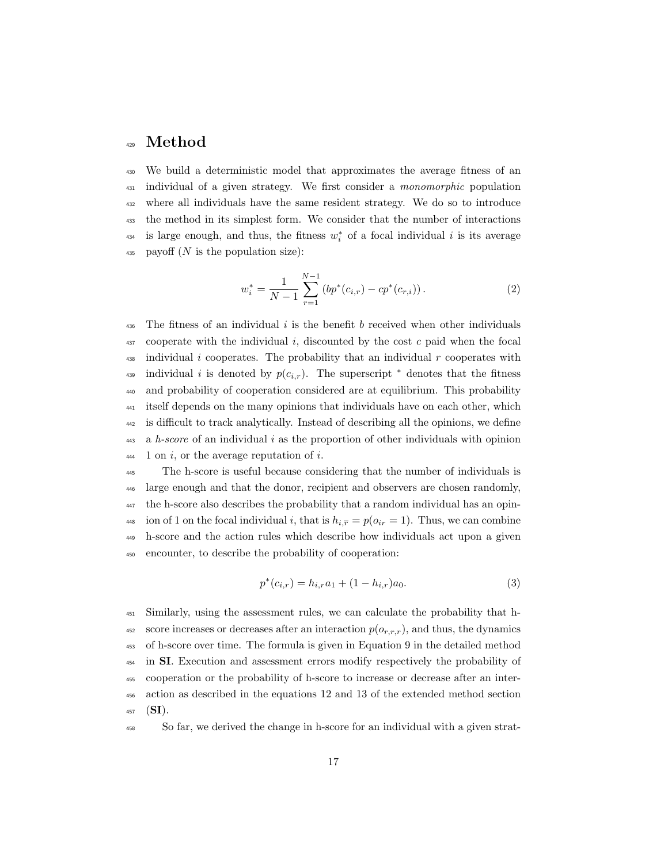## <sup>429</sup> Method

<sup>430</sup> We build a deterministic model that approximates the average fitness of an <sup>431</sup> individual of a given strategy. We first consider a *monomorphic* population <sup>432</sup> where all individuals have the same resident strategy. We do so to introduce <sup>433</sup> the method in its simplest form. We consider that the number of interactions <sup>434</sup> is large enough, and thus, the fitness  $w_i^*$  of a focal individual i is its average 435 payoff  $(N$  is the population size):

$$
w_i^* = \frac{1}{N-1} \sum_{r=1}^{N-1} \left( bp^*(c_{i,r}) - cp^*(c_{r,i}) \right). \tag{2}
$$

436 The fitness of an individual i is the benefit b received when other individuals  $437$  cooperate with the individual i, discounted by the cost c paid when the focal  $\frac{438}{100}$  individual i cooperates. The probability that an individual r cooperates with <sup>439</sup> individual i is denoted by  $p(c_{i,r})$ . The superscript  $*$  denotes that the fitness <sup>440</sup> and probability of cooperation considered are at equilibrium. This probability <sup>441</sup> itself depends on the many opinions that individuals have on each other, which <sup>442</sup> is difficult to track analytically. Instead of describing all the opinions, we define  $443$  a h-score of an individual i as the proportion of other individuals with opinion  $_{444}$  1 on i, or the average reputation of i.

 The h-score is useful because considering that the number of individuals is large enough and that the donor, recipient and observers are chosen randomly, the h-score also describes the probability that a random individual has an opin-448 ion of 1 on the focal individual i, that is  $h_{i,\overline{r}} = p(o_{ir} = 1)$ . Thus, we can combine h-score and the action rules which describe how individuals act upon a given encounter, to describe the probability of cooperation:

$$
p^*(c_{i,r}) = h_{i,r}a_1 + (1 - h_{i,r})a_0.
$$
\n(3)

<sup>451</sup> Similarly, using the assessment rules, we can calculate the probability that h-452 score increases or decreases after an interaction  $p(o_{r,r,r})$ , and thus, the dynamics <sup>453</sup> of h-score over time. The formula is given in Equation 9 in the detailed method <sup>454</sup> in SI. Execution and assessment errors modify respectively the probability of <sup>455</sup> cooperation or the probability of h-score to increase or decrease after an inter-<sup>456</sup> action as described in the equations 12 and 13 of the extended method section  $457$  (SI).

<sup>458</sup> So far, we derived the change in h-score for an individual with a given strat-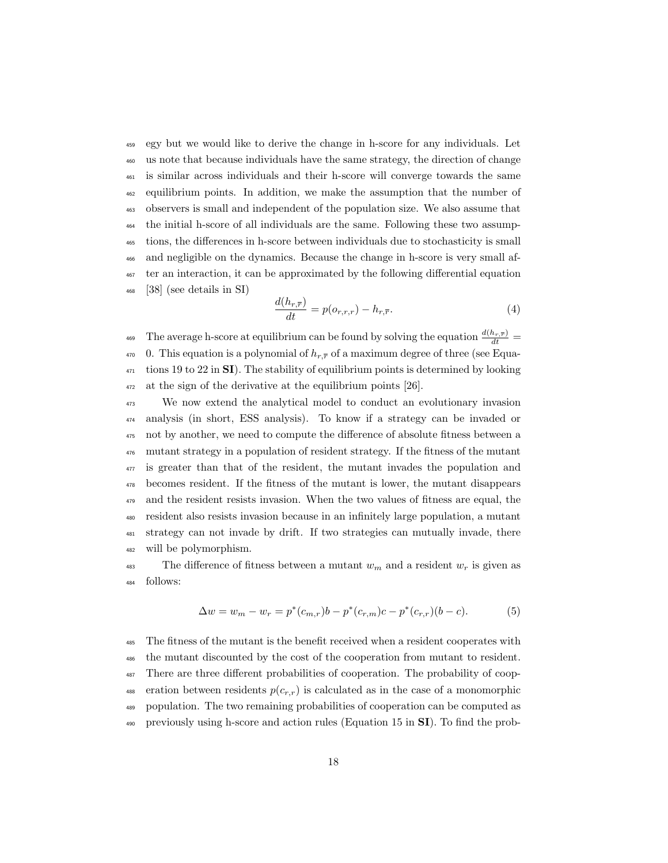egy but we would like to derive the change in h-score for any individuals. Let us note that because individuals have the same strategy, the direction of change is similar across individuals and their h-score will converge towards the same equilibrium points. In addition, we make the assumption that the number of observers is small and independent of the population size. We also assume that the initial h-score of all individuals are the same. Following these two assump- tions, the differences in h-score between individuals due to stochasticity is small and negligible on the dynamics. Because the change in h-score is very small af- ter an interaction, it can be approximated by the following differential equation [38] (see details in SI)

$$
\frac{d(h_{r,\overline{r}})}{dt} = p(o_{r,r,r}) - h_{r,\overline{r}}.\tag{4}
$$

<sup>469</sup> The average h-score at equilibrium can be found by solving the equation  $\frac{d(h_r,\bar{r})}{dt}$ 470 0. This equation is a polynomial of  $h_{r,\overline{r}}$  of a maximum degree of three (see Equa- tions 19 to 22 in **SI**). The stability of equilibrium points is determined by looking at the sign of the derivative at the equilibrium points [26].

 We now extend the analytical model to conduct an evolutionary invasion analysis (in short, ESS analysis). To know if a strategy can be invaded or not by another, we need to compute the difference of absolute fitness between a mutant strategy in a population of resident strategy. If the fitness of the mutant is greater than that of the resident, the mutant invades the population and becomes resident. If the fitness of the mutant is lower, the mutant disappears and the resident resists invasion. When the two values of fitness are equal, the resident also resists invasion because in an infinitely large population, a mutant strategy can not invade by drift. If two strategies can mutually invade, there will be polymorphism.

<sup>483</sup> The difference of fitness between a mutant  $w_m$  and a resident  $w_r$  is given as follows:

$$
\Delta w = w_m - w_r = p^*(c_{m,r})b - p^*(c_{r,m})c - p^*(c_{r,r})(b-c).
$$
 (5)

 The fitness of the mutant is the benefit received when a resident cooperates with the mutant discounted by the cost of the cooperation from mutant to resident. There are three different probabilities of cooperation. The probability of coop-488 eration between residents  $p(c_{r,r})$  is calculated as in the case of a monomorphic population. The two remaining probabilities of cooperation can be computed as previously using h-score and action rules (Equation 15 in SI). To find the prob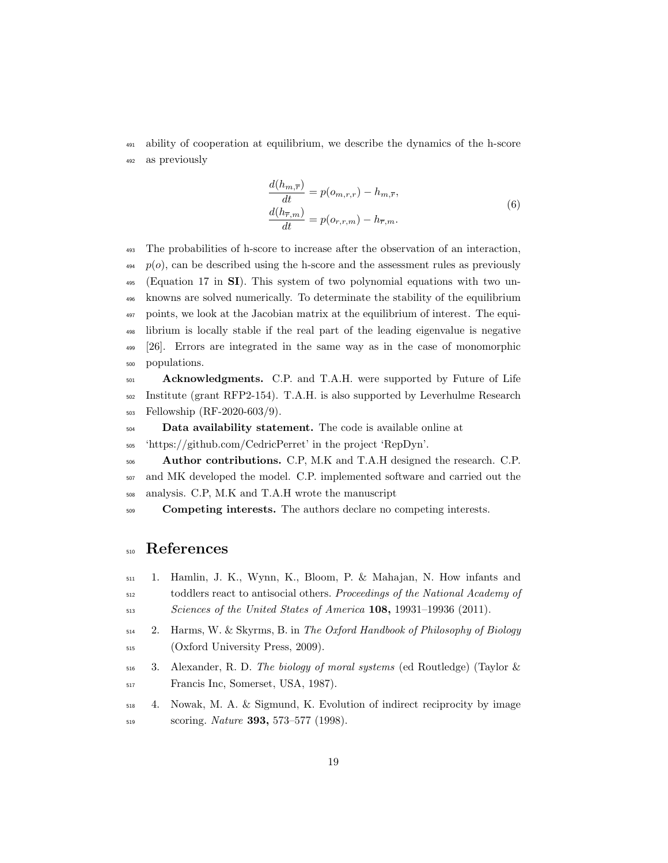ability of cooperation at equilibrium, we describe the dynamics of the h-score as previously

$$
\frac{d(h_{m,\overline{r}})}{dt} = p(o_{m,r,r}) - h_{m,\overline{r}},
$$
\n
$$
\frac{d(h_{\overline{r},m})}{dt} = p(o_{r,r,m}) - h_{\overline{r},m}.
$$
\n(6)

 The probabilities of h-score to increase after the observation of an interaction,  $p(o)$ , can be described using the h-score and the assessment rules as previously (Equation 17 in SI). This system of two polynomial equations with two un- knowns are solved numerically. To determinate the stability of the equilibrium points, we look at the Jacobian matrix at the equilibrium of interest. The equi- librium is locally stable if the real part of the leading eigenvalue is negative [26]. Errors are integrated in the same way as in the case of monomorphic populations.

<sub>501</sub> Acknowledgments. C.P. and T.A.H. were supported by Future of Life Institute (grant RFP2-154). T.A.H. is also supported by Leverhulme Research Fellowship (RF-2020-603/9).

Data availability statement. The code is available online at

'https://github.com/CedricPerret' in the project 'RepDyn'.

506 Author contributions. C.P, M.K and T.A.H designed the research. C.P. and MK developed the model. C.P. implemented software and carried out the analysis. C.P, M.K and T.A.H wrote the manuscript

**Competing interests.** The authors declare no competing interests.

## References

- 1. Hamlin, J. K., Wynn, K., Bloom, P. & Mahajan, N. How infants and toddlers react to antisocial others. Proceedings of the National Academy of Sciences of the United States of America 108, 19931–19936 (2011).
- 2. Harms, W. & Skyrms, B. in The Oxford Handbook of Philosophy of Biology (Oxford University Press, 2009).
- $_{516}$  3. Alexander, R. D. The biology of moral systems (ed Routledge) (Taylor & Francis Inc, Somerset, USA, 1987).
- 4. Nowak, M. A. & Sigmund, K. Evolution of indirect reciprocity by image <sub>519</sub> scoring. *Nature* **393**, 573–577 (1998).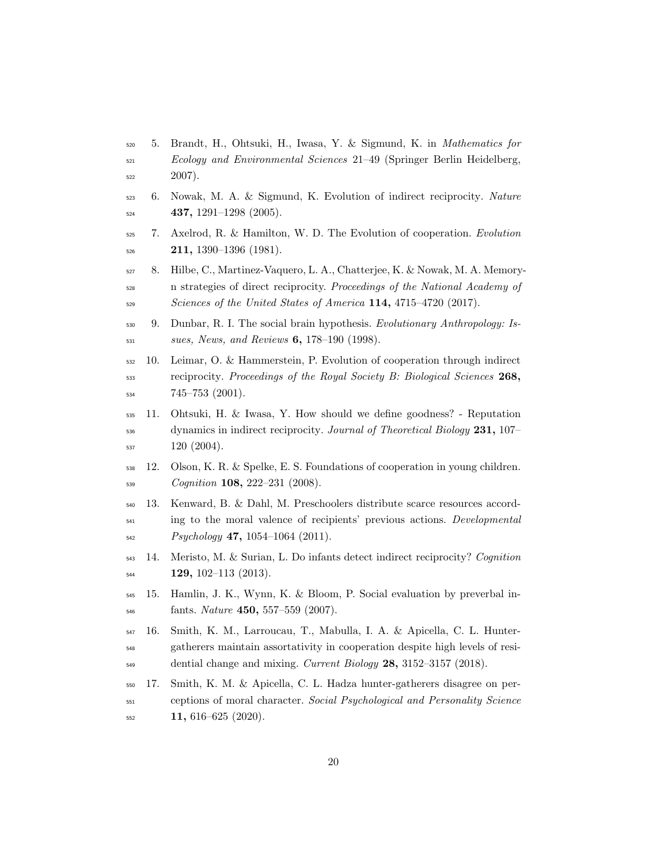- 5. Brandt, H., Ohtsuki, H., Iwasa, Y. & Sigmund, K. in Mathematics for Ecology and Environmental Sciences 21–49 (Springer Berlin Heidelberg, 2007).
- 6. Nowak, M. A. & Sigmund, K. Evolution of indirect reciprocity. Nature 437, 1291–1298 (2005).
- 7. Axelrod, R. & Hamilton, W. D. The Evolution of cooperation. Evolution  $211, 1390-1396$  (1981).
- 8. Hilbe, C., Martinez-Vaquero, L. A., Chatterjee, K. & Nowak, M. A. Memory- n strategies of direct reciprocity. Proceedings of the National Academy of 529 Sciences of the United States of America 114, 4715-4720 (2017).
- 530 9. Dunbar, R. I. The social brain hypothesis. Evolutionary Anthropology: Is-sues, News, and Reviews 6, 178-190 (1998).
- 10. Leimar, O. & Hammerstein, P. Evolution of cooperation through indirect <sub>533</sub> reciprocity. Proceedings of the Royal Society B: Biological Sciences 268, 745–753 (2001).
- 11. Ohtsuki, H. & Iwasa, Y. How should we define goodness? Reputation dynamics in indirect reciprocity. Journal of Theoretical Biology 231, 107– 120 (2004).
- 12. Olson, K. R. & Spelke, E. S. Foundations of cooperation in young children. Cognition 108, 222–231 (2008).
- 13. Kenward, B. & Dahl, M. Preschoolers distribute scarce resources accord- ing to the moral valence of recipients' previous actions. Developmental Psychology 47, 1054–1064 (2011).
- 14. Meristo, M. & Surian, L. Do infants detect indirect reciprocity? Cognition  $\frac{129}{102}$ , 102–113 (2013).
- 15. Hamlin, J. K., Wynn, K. & Bloom, P. Social evaluation by preverbal in- $_{546}$  fants. *Nature* **450**, 557–559 (2007).
- 16. Smith, K. M., Larroucau, T., Mabulla, I. A. & Apicella, C. L. Hunter- gatherers maintain assortativity in cooperation despite high levels of resi- $_{549}$  dential change and mixing. Current Biology  $28$ ,  $3152-3157$  (2018).
- 17. Smith, K. M. & Apicella, C. L. Hadza hunter-gatherers disagree on per- ceptions of moral character. Social Psychological and Personality Science  $\frac{552}{11,616-625}$  (2020).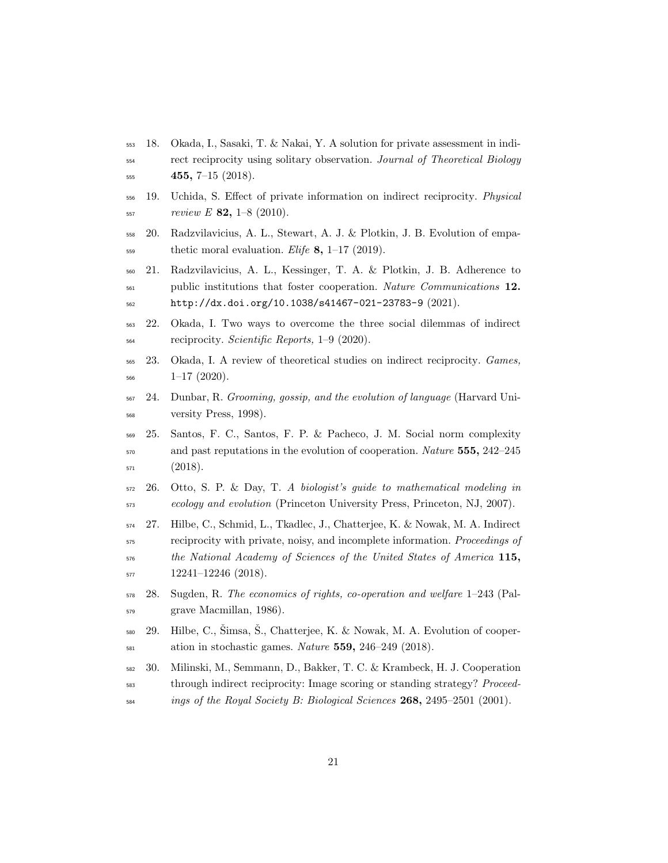- 18. Okada, I., Sasaki, T. & Nakai, Y. A solution for private assessment in indi-<sub>554</sub> rect reciprocity using solitary observation. Journal of Theoretical Biology 455, 7-15 (2018).
- 19. Uchida, S. Effect of private information on indirect reciprocity. Physical review E 82, 1–8 (2010).
- 20. Radzvilavicius, A. L., Stewart, A. J. & Plotkin, J. B. Evolution of empa- $\frac{1}{559}$  thetic moral evaluation. *Elife* 8, 1–17 (2019).
- 21. Radzvilavicius, A. L., Kessinger, T. A. & Plotkin, J. B. Adherence to <sub>561</sub> public institutions that foster cooperation. Nature Communications 12. http://dx.doi.org/10.1038/s41467-021-23783-9 (2021).
- 22. Okada, I. Two ways to overcome the three social dilemmas of indirect reciprocity. Scientific Reports, 1–9 (2020).
- 23. Okada, I. A review of theoretical studies on indirect reciprocity. Games,  $1-17$  (2020).
- 24. Dunbar, R. Grooming, gossip, and the evolution of language (Harvard Uni-versity Press, 1998).
- 25. Santos, F. C., Santos, F. P. & Pacheco, J. M. Social norm complexity <sub>570</sub> and past reputations in the evolution of cooperation. *Nature* **555**, 242–245 (2018).
- 26. Otto, S. P. & Day, T. A biologist's quide to mathematical modeling in ecology and evolution (Princeton University Press, Princeton, NJ, 2007).
- 27. Hilbe, C., Schmid, L., Tkadlec, J., Chatterjee, K. & Nowak, M. A. Indirect reciprocity with private, noisy, and incomplete information. Proceedings of the National Academy of Sciences of the United States of America 115, 12241–12246 (2018).
- 28. Sugden, R. The economics of rights, co-operation and welfare 1–243 (Pal-grave Macmillan, 1986).
- $29.$  Hilbe, C., Šimsa, Š., Chatterjee, K. & Nowak, M. A. Evolution of cooper-581 ation in stochastic games. Nature 559, 246-249 (2018).
- 30. Milinski, M., Semmann, D., Bakker, T. C. & Krambeck, H. J. Cooperation through indirect reciprocity: Image scoring or standing strategy? Proceed-ings of the Royal Society B: Biological Sciences 268, 2495–2501 (2001).